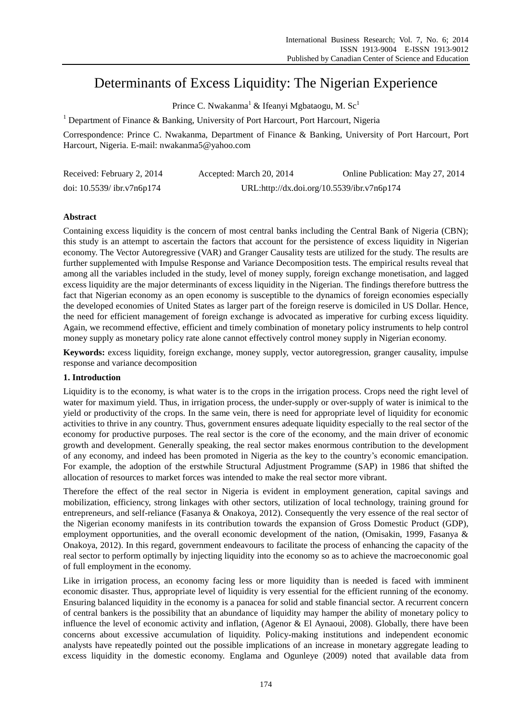# Determinants of Excess Liquidity: The Nigerian Experience

Prince C. Nwakanma<sup>1</sup> & Ifeanyi Mgbataogu, M. Sc<sup>1</sup>

<sup>1</sup> Department of Finance & Banking, University of Port Harcourt, Port Harcourt, Nigeria

Correspondence: Prince C. Nwakanma, Department of Finance & Banking, University of Port Harcourt, Port Harcourt, Nigeria. E-mail: nwakanma5@yahoo.com

| Received: February 2, 2014    | Accepted: March 20, 2014 | Online Publication: May 27, 2014           |
|-------------------------------|--------------------------|--------------------------------------------|
| doi: $10.5539$ / ibr.v7n6p174 |                          | URL:http://dx.doi.org/10.5539/ibr.v7n6p174 |

# **Abstract**

Containing excess liquidity is the concern of most central banks including the Central Bank of Nigeria (CBN); this study is an attempt to ascertain the factors that account for the persistence of excess liquidity in Nigerian economy. The Vector Autoregressive (VAR) and Granger Causality tests are utilized for the study. The results are further supplemented with Impulse Response and Variance Decomposition tests. The empirical results reveal that among all the variables included in the study, level of money supply, foreign exchange monetisation, and lagged excess liquidity are the major determinants of excess liquidity in the Nigerian. The findings therefore buttress the fact that Nigerian economy as an open economy is susceptible to the dynamics of foreign economies especially the developed economies of United States as larger part of the foreign reserve is domiciled in US Dollar. Hence, the need for efficient management of foreign exchange is advocated as imperative for curbing excess liquidity. Again, we recommend effective, efficient and timely combination of monetary policy instruments to help control money supply as monetary policy rate alone cannot effectively control money supply in Nigerian economy.

**Keywords:** excess liquidity, foreign exchange, money supply, vector autoregression, granger causality, impulse response and variance decomposition

## **1. Introduction**

Liquidity is to the economy, is what water is to the crops in the irrigation process. Crops need the right level of water for maximum yield. Thus, in irrigation process, the under-supply or over-supply of water is inimical to the yield or productivity of the crops. In the same vein, there is need for appropriate level of liquidity for economic activities to thrive in any country. Thus, government ensures adequate liquidity especially to the real sector of the economy for productive purposes. The real sector is the core of the economy, and the main driver of economic growth and development. Generally speaking, the real sector makes enormous contribution to the development of any economy, and indeed has been promoted in Nigeria as the key to the country's economic emancipation. For example, the adoption of the erstwhile Structural Adjustment Programme (SAP) in 1986 that shifted the allocation of resources to market forces was intended to make the real sector more vibrant.

Therefore the effect of the real sector in Nigeria is evident in employment generation, capital savings and mobilization, efficiency, strong linkages with other sectors, utilization of local technology, training ground for entrepreneurs, and self-reliance (Fasanya & Onakoya, 2012). Consequently the very essence of the real sector of the Nigerian economy manifests in its contribution towards the expansion of Gross Domestic Product (GDP), employment opportunities, and the overall economic development of the nation, (Omisakin, 1999, Fasanya & Onakoya, 2012). In this regard, government endeavours to facilitate the process of enhancing the capacity of the real sector to perform optimally by injecting liquidity into the economy so as to achieve the macroeconomic goal of full employment in the economy.

Like in irrigation process, an economy facing less or more liquidity than is needed is faced with imminent economic disaster. Thus, appropriate level of liquidity is very essential for the efficient running of the economy. Ensuring balanced liquidity in the economy is a panacea for solid and stable financial sector. A recurrent concern of central bankers is the possibility that an abundance of liquidity may hamper the ability of monetary policy to influence the level of economic activity and inflation, (Agenor & El Aynaoui, 2008). Globally, there have been concerns about excessive accumulation of liquidity. Policy-making institutions and independent economic analysts have repeatedly pointed out the possible implications of an increase in monetary aggregate leading to excess liquidity in the domestic economy. Englama and Ogunleye (2009) noted that available data from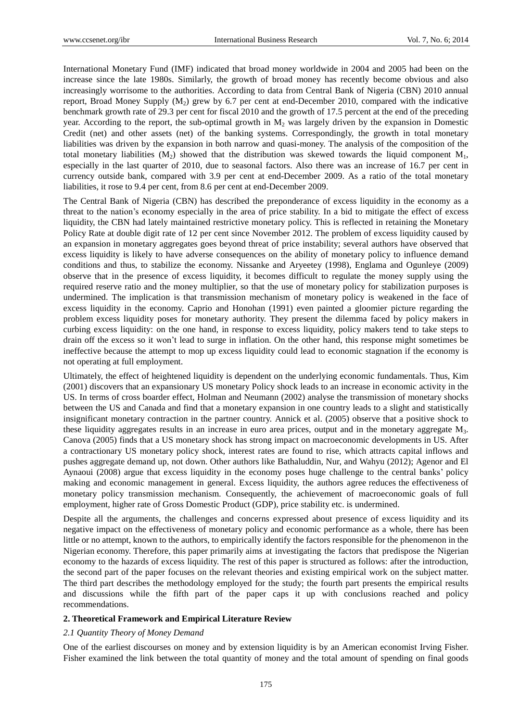International Monetary Fund (IMF) indicated that broad money worldwide in 2004 and 2005 had been on the increase since the late 1980s. Similarly, the growth of broad money has recently become obvious and also increasingly worrisome to the authorities. According to data from Central Bank of Nigeria (CBN) 2010 annual report, Broad Money Supply  $(M<sub>2</sub>)$  grew by 6.7 per cent at end-December 2010, compared with the indicative benchmark growth rate of 29.3 per cent for fiscal 2010 and the growth of 17.5 percent at the end of the preceding year. According to the report, the sub-optimal growth in  $M_2$  was largely driven by the expansion in Domestic Credit (net) and other assets (net) of the banking systems. Correspondingly, the growth in total monetary liabilities was driven by the expansion in both narrow and quasi-money. The analysis of the composition of the total monetary liabilities  $(M_2)$  showed that the distribution was skewed towards the liquid component  $M_1$ , especially in the last quarter of 2010, due to seasonal factors. Also there was an increase of 16.7 per cent in currency outside bank, compared with 3.9 per cent at end-December 2009. As a ratio of the total monetary liabilities, it rose to 9.4 per cent, from 8.6 per cent at end-December 2009.

The Central Bank of Nigeria (CBN) has described the preponderance of excess liquidity in the economy as a threat to the nation's economy especially in the area of price stability. In a bid to mitigate the effect of excess liquidity, the CBN had lately maintained restrictive monetary policy. This is reflected in retaining the Monetary Policy Rate at double digit rate of 12 per cent since November 2012. The problem of excess liquidity caused by an expansion in monetary aggregates goes beyond threat of price instability; several authors have observed that excess liquidity is likely to have adverse consequences on the ability of monetary policy to influence demand conditions and thus, to stabilize the economy. Nissanke and Aryeetey (1998), Englama and Ogunleye (2009) observe that in the presence of excess liquidity, it becomes difficult to regulate the money supply using the required reserve ratio and the money multiplier, so that the use of monetary policy for stabilization purposes is undermined. The implication is that transmission mechanism of monetary policy is weakened in the face of excess liquidity in the economy. Caprio and Honohan (1991) even painted a gloomier picture regarding the problem excess liquidity poses for monetary authority. They present the dilemma faced by policy makers in curbing excess liquidity: on the one hand, in response to excess liquidity, policy makers tend to take steps to drain off the excess so it won't lead to surge in inflation. On the other hand, this response might sometimes be ineffective because the attempt to mop up excess liquidity could lead to economic stagnation if the economy is not operating at full employment.

Ultimately, the effect of heightened liquidity is dependent on the underlying economic fundamentals. Thus, Kim (2001) discovers that an expansionary US monetary Policy shock leads to an increase in economic activity in the US. In terms of cross boarder effect, Holman and Neumann (2002) analyse the transmission of monetary shocks between the US and Canada and find that a monetary expansion in one country leads to a slight and statistically insignificant monetary contraction in the partner country. Annick et al. (2005) observe that a positive shock to these liquidity aggregates results in an increase in euro area prices, output and in the monetary aggregate  $M_3$ . Canova (2005) finds that a US monetary shock has strong impact on macroeconomic developments in US. After a contractionary US monetary policy shock, interest rates are found to rise, which attracts capital inflows and pushes aggregate demand up, not down. Other authors like Bathaluddin, Nur, and Wahyu (2012); Agenor and El Aynaoui (2008) argue that excess liquidity in the economy poses huge challenge to the central banks' policy making and economic management in general. Excess liquidity, the authors agree reduces the effectiveness of monetary policy transmission mechanism. Consequently, the achievement of macroeconomic goals of full employment, higher rate of Gross Domestic Product (GDP), price stability etc. is undermined.

Despite all the arguments, the challenges and concerns expressed about presence of excess liquidity and its negative impact on the effectiveness of monetary policy and economic performance as a whole, there has been little or no attempt, known to the authors, to empirically identify the factors responsible for the phenomenon in the Nigerian economy. Therefore, this paper primarily aims at investigating the factors that predispose the Nigerian economy to the hazards of excess liquidity. The rest of this paper is structured as follows: after the introduction, the second part of the paper focuses on the relevant theories and existing empirical work on the subject matter. The third part describes the methodology employed for the study; the fourth part presents the empirical results and discussions while the fifth part of the paper caps it up with conclusions reached and policy recommendations.

#### **2. Theoretical Framework and Empirical Literature Review**

#### *2.1 Quantity Theory of Money Demand*

One of the earliest discourses on money and by extension liquidity is by an American economist Irving Fisher. Fisher examined the link between the total quantity of money and the total amount of spending on final goods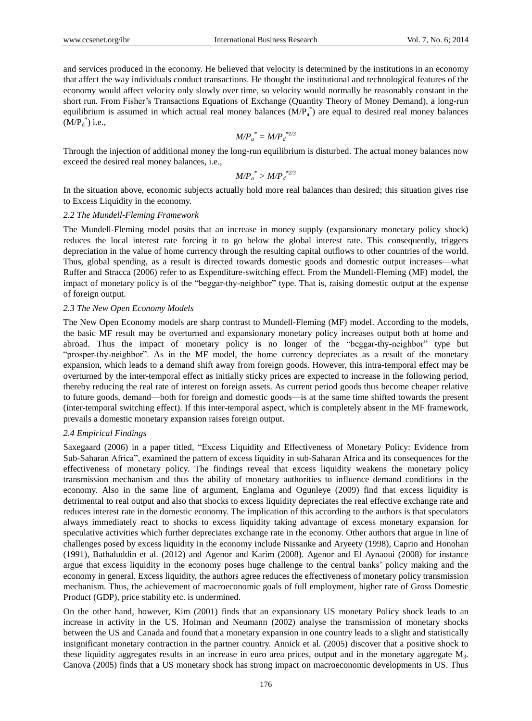and services produced in the economy. He believed that velocity is determined by the institutions in an economy that affect the way individuals conduct transactions. He thought the institutional and technological features of the economy would affect velocity only slowly over time, so velocity would normally be reasonably constant in the short run. From Fisher's Transactions Equations of Exchange (Quantity Theory of Money Demand), a long-run equilibrium is assumed in which actual real money balances  $(M/P_a^*)$  are equal to desired real money balances  $(M/P_d^*)$  i.e.,

$$
M/P_a^* = M/P_d^{*1/3}
$$

Through the injection of additional money the long-run equilibrium is disturbed. The actual money balances now exceed the desired real money balances, i.e.,

$$
M/P_a^* > M/P_d^{*2/3}
$$

In the situation above, economic subjects actually hold more real balances than desired; this situation gives rise to Excess Liquidity in the economy.

#### *2.2 The Mundell-Fleming Framework*

The Mundell-Fleming model posits that an increase in money supply (expansionary monetary policy shock) reduces the local interest rate forcing it to go below the global interest rate. This consequently, triggers depreciation in the value of home currency through the resulting capital outflows to other countries of the world. Thus, global spending, as a result is directed towards domestic goods and domestic output increases—what Ruffer and Stracca (2006) refer to as Expenditure-switching effect. From the Mundell-Fleming (MF) model, the impact of monetary policy is of the "beggar-thy-neighbor" type. That is, raising domestic output at the expense of foreign output.

## *2.3 The New Open Economy Models*

The New Open Economy models are sharp contrast to Mundell-Fleming (MF) model. According to the models, the basic MF result may be overturned and expansionary monetary policy increases output both at home and abroad. Thus the impact of monetary policy is no longer of the "beggar-thy-neighbor" type but "prosper-thy-neighbor". As in the MF model, the home currency depreciates as a result of the monetary expansion, which leads to a demand shift away from foreign goods. However, this intra-temporal effect may be overturned by the inter-temporal effect as initially sticky prices are expected to increase in the following period, thereby reducing the real rate of interest on foreign assets. As current period goods thus become cheaper relative to future goods, demand—both for foreign and domestic goods—is at the same time shifted towards the present (inter-temporal switching effect). If this inter-temporal aspect, which is completely absent in the MF framework, prevails a domestic monetary expansion raises foreign output.

## *2.4 Empirical Findings*

Saxegaard (2006) in a paper titled, "Excess Liquidity and Effectiveness of Monetary Policy: Evidence from Sub-Saharan Africa", examined the pattern of excess liquidity in sub-Saharan Africa and its consequences for the effectiveness of monetary policy. The findings reveal that excess liquidity weakens the monetary policy transmission mechanism and thus the ability of monetary authorities to influence demand conditions in the economy. Also in the same line of argument, Englama and Ogunleye (2009) find that excess liquidity is detrimental to real output and also that shocks to excess liquidity depreciates the real effective exchange rate and reduces interest rate in the domestic economy. The implication of this according to the authors is that speculators always immediately react to shocks to excess liquidity taking advantage of excess monetary expansion for speculative activities which further depreciates exchange rate in the economy. Other authors that argue in line of challenges posed by excess liquidity in the economy include Nissanke and Aryeety (1998), Caprio and Honohan (1991), Bathaluddin et al. (2012) and Agenor and Karim (2008). Agenor and El Aynaoui (2008) for instance argue that excess liquidity in the economy poses huge challenge to the central banks' policy making and the economy in general. Excess liquidity, the authors agree reduces the effectiveness of monetary policy transmission mechanism. Thus, the achievement of macroeconomic goals of full employment, higher rate of Gross Domestic Product (GDP), price stability etc. is undermined.

On the other hand, however, Kim (2001) finds that an expansionary US monetary Policy shock leads to an increase in activity in the US. Holman and Neumann (2002) analyse the transmission of monetary shocks between the US and Canada and found that a monetary expansion in one country leads to a slight and statistically insignificant monetary contraction in the partner country. Annick et al. (2005) discover that a positive shock to these liquidity aggregates results in an increase in euro area prices, output and in the monetary aggregate M3. Canova (2005) finds that a US monetary shock has strong impact on macroeconomic developments in US. Thus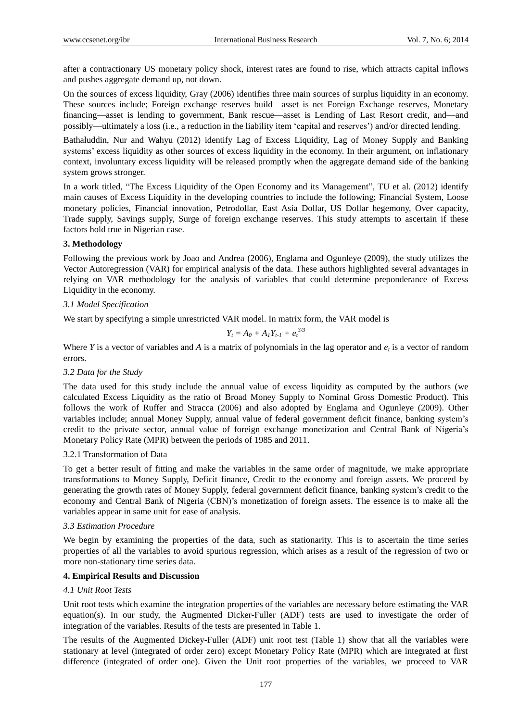after a contractionary US monetary policy shock, interest rates are found to rise, which attracts capital inflows and pushes aggregate demand up, not down.

On the sources of excess liquidity, Gray (2006) identifies three main sources of surplus liquidity in an economy. These sources include; Foreign exchange reserves build—asset is net Foreign Exchange reserves, Monetary financing—asset is lending to government, Bank rescue—asset is Lending of Last Resort credit, and—and possibly—ultimately a loss (i.e., a reduction in the liability item ‗capital and reserves') and/or directed lending.

Bathaluddin, Nur and Wahyu (2012) identify Lag of Excess Liquidity, Lag of Money Supply and Banking systems' excess liquidity as other sources of excess liquidity in the economy. In their argument, on inflationary context, involuntary excess liquidity will be released promptly when the aggregate demand side of the banking system grows stronger.

In a work titled, "The Excess Liquidity of the Open Economy and its Management", TU et al. (2012) identify main causes of Excess Liquidity in the developing countries to include the following; Financial System, Loose monetary policies, Financial innovation, Petrodollar, East Asia Dollar, US Dollar hegemony, Over capacity, Trade supply, Savings supply, Surge of foreign exchange reserves. This study attempts to ascertain if these factors hold true in Nigerian case.

# **3. Methodology**

Following the previous work by Joao and Andrea (2006), Englama and Ogunleye (2009), the study utilizes the Vector Autoregression (VAR) for empirical analysis of the data. These authors highlighted several advantages in relying on VAR methodology for the analysis of variables that could determine preponderance of Excess Liquidity in the economy.

# *3.1 Model Specification*

We start by specifying a simple unrestricted VAR model. In matrix form, the VAR model is

$$
Y_t = A_0 + A_1 Y_{t-1} + e_t^{3/3}
$$

Where *Y* is a vector of variables and *A* is a matrix of polynomials in the lag operator and  $e_t$  is a vector of random errors.

## *3.2 Data for the Study*

The data used for this study include the annual value of excess liquidity as computed by the authors (we calculated Excess Liquidity as the ratio of Broad Money Supply to Nominal Gross Domestic Product). This follows the work of Ruffer and Stracca (2006) and also adopted by Englama and Ogunleye (2009). Other variables include; annual Money Supply, annual value of federal government deficit finance, banking system's credit to the private sector, annual value of foreign exchange monetization and Central Bank of Nigeria's Monetary Policy Rate (MPR) between the periods of 1985 and 2011.

## 3.2.1 Transformation of Data

To get a better result of fitting and make the variables in the same order of magnitude, we make appropriate transformations to Money Supply, Deficit finance, Credit to the economy and foreign assets. We proceed by generating the growth rates of Money Supply, federal government deficit finance, banking system's credit to the economy and Central Bank of Nigeria (CBN)'s monetization of foreign assets. The essence is to make all the variables appear in same unit for ease of analysis.

## *3.3 Estimation Procedure*

We begin by examining the properties of the data, such as stationarity. This is to ascertain the time series properties of all the variables to avoid spurious regression, which arises as a result of the regression of two or more non-stationary time series data.

## **4. Empirical Results and Discussion**

## *4.1 Unit Root Tests*

Unit root tests which examine the integration properties of the variables are necessary before estimating the VAR equation(s). In our study, the Augmented Dicker-Fuller (ADF) tests are used to investigate the order of integration of the variables. Results of the tests are presented in Table 1.

The results of the Augmented Dickey-Fuller (ADF) unit root test (Table 1) show that all the variables were stationary at level (integrated of order zero) except Monetary Policy Rate (MPR) which are integrated at first difference (integrated of order one). Given the Unit root properties of the variables, we proceed to VAR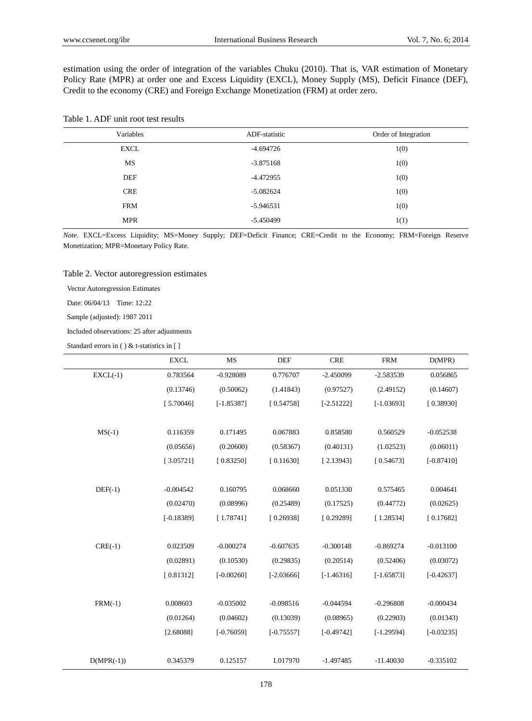estimation using the order of integration of the variables Chuku (2010). That is, VAR estimation of Monetary Policy Rate (MPR) at order one and Excess Liquidity (EXCL), Money Supply (MS), Deficit Finance (DEF), Credit to the economy (CRE) and Foreign Exchange Monetization (FRM) at order zero.

| Variables  | ADF-statistic | Order of Integration |
|------------|---------------|----------------------|
| EXCL       | $-4.694726$   | 1(0)                 |
| MS         | $-3.875168$   | 1(0)                 |
| <b>DEF</b> | $-4.472955$   | 1(0)                 |
| <b>CRE</b> | $-5.082624$   | 1(0)                 |
| <b>FRM</b> | $-5.946531$   | 1(0)                 |
| <b>MPR</b> | $-5.450499$   | 1(1)                 |

## Table 1. ADF unit root test results

*Note.* EXCL=Excess Liquidity; MS=Money Supply; DEF=Deficit Finance; CRE=Credit to the Economy; FRM=Foreign Reserve Monetization; MPR=Monetary Policy Rate.

#### Table 2. Vector autoregression estimates

Vector Autoregression Estimates

Date: 06/04/13 Time: 12:22

Sample (adjusted): 1987 2011

Included observations: 25 after adjustments

Standard errors in ( ) & t-statistics in [ ]

|              | <b>EXCL</b>  | MS           | <b>DEF</b>   | <b>CRE</b>   | <b>FRM</b>   | D(MPR)       |
|--------------|--------------|--------------|--------------|--------------|--------------|--------------|
| $EXCL(-1)$   | 0.783564     | $-0.928089$  | 0.776707     | $-2.450099$  | $-2.583539$  | 0.056865     |
|              | (0.13746)    | (0.50062)    | (1.41843)    | (0.97527)    | (2.49152)    | (0.14607)    |
|              | [5.70046]    | $[-1.85387]$ | [0.54758]    | $[-2.51222]$ | $[-1.03693]$ | [0.38930]    |
|              |              |              |              |              |              |              |
| $MS(-1)$     | 0.116359     | 0.171495     | 0.067883     | 0.858580     | 0.560529     | $-0.052538$  |
|              | (0.05656)    | (0.20600)    | (0.58367)    | (0.40131)    | (1.02523)    | (0.06011)    |
|              | [3.05721]    | [0.83250]    | [0.11630]    | [2.13943]    | [0.54673]    | $[-0.87410]$ |
|              |              |              |              |              |              |              |
| $DEF(-1)$    | $-0.004542$  | 0.160795     | 0.068660     | 0.051330     | 0.575465     | 0.004641     |
|              | (0.02470)    | (0.08996)    | (0.25489)    | (0.17525)    | (0.44772)    | (0.02625)    |
|              | $[-0.18389]$ | [1.78741]    | [0.26938]    | [0.29289]    | [1.28534]    | [0.17682]    |
|              |              |              |              |              |              |              |
| $CRE(-1)$    | 0.023509     | $-0.000274$  | $-0.607635$  | $-0.300148$  | $-0.869274$  | $-0.013100$  |
|              | (0.02891)    | (0.10530)    | (0.29835)    | (0.20514)    | (0.52406)    | (0.03072)    |
|              | [0.81312]    | $[-0.00260]$ | $[-2.03666]$ | $[-1.46316]$ | $[-1.65873]$ | $[-0.42637]$ |
|              |              |              |              |              |              |              |
| $FRM(-1)$    | 0.008603     | $-0.035002$  | $-0.098516$  | $-0.044594$  | $-0.296808$  | $-0.000434$  |
|              | (0.01264)    | (0.04602)    | (0.13039)    | (0.08965)    | (0.22903)    | (0.01343)    |
|              | [2.68088]    | $[-0.76059]$ | $[-0.75557]$ | $[-0.49742]$ | $[-1.29594]$ | $[-0.03235]$ |
|              |              |              |              |              |              |              |
| $D(MPR(-1))$ | 0.345379     | 0.125157     | 1.017970     | $-1.497485$  | $-11.40030$  | $-0.335102$  |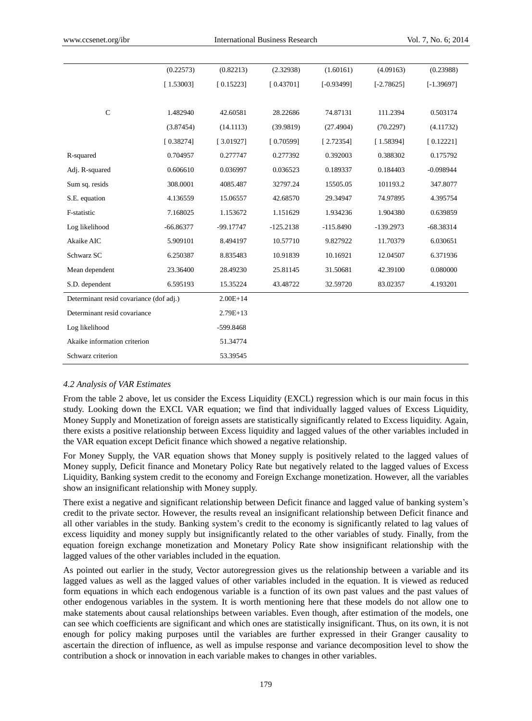|                                         | (0.22573)   | (0.82213)   | (2.32938)   | (1.60161)    | (4.09163)    | (0.23988)    |  |
|-----------------------------------------|-------------|-------------|-------------|--------------|--------------|--------------|--|
|                                         | [1.53003]   | [0.15223]   | [0.43701]   | $[-0.93499]$ | $[-2.78625]$ | $[-1.39697]$ |  |
|                                         |             |             |             |              |              |              |  |
| $\mathcal{C}$                           | 1.482940    | 42.60581    | 28.22686    | 74.87131     | 111.2394     | 0.503174     |  |
|                                         | (3.87454)   | (14.1113)   | (39.9819)   | (27.4904)    | (70.2297)    | (4.11732)    |  |
|                                         | [0.38274]   | [3.01927]   | [0.70599]   | [2.72354]    | [1.58394]    | [0.12221]    |  |
| R-squared                               | 0.704957    | 0.277747    | 0.277392    | 0.392003     | 0.388302     | 0.175792     |  |
| Adj. R-squared                          | 0.606610    | 0.036997    | 0.036523    | 0.189337     | 0.184403     | $-0.098944$  |  |
| Sum sq. resids                          | 308.0001    | 4085.487    | 32797.24    | 15505.05     | 101193.2     | 347.8077     |  |
| S.E. equation                           | 4.136559    | 15.06557    | 42.68570    | 29.34947     | 74.97895     | 4.395754     |  |
| F-statistic                             | 7.168025    | 1.153672    | 1.151629    | 1.934236     | 1.904380     | 0.639859     |  |
| Log likelihood                          | $-66.86377$ | $-99.17747$ | $-125.2138$ | $-115.8490$  | $-139.2973$  | $-68.38314$  |  |
| Akaike AIC                              | 5.909101    | 8.494197    | 10.57710    | 9.827922     | 11.70379     | 6.030651     |  |
| Schwarz SC                              | 6.250387    | 8.835483    | 10.91839    | 10.16921     | 12.04507     | 6.371936     |  |
| Mean dependent                          | 23.36400    | 28.49230    | 25.81145    | 31.50681     | 42.39100     | 0.080000     |  |
| S.D. dependent                          | 6.595193    | 15.35224    | 43.48722    | 32.59720     | 83.02357     | 4.193201     |  |
| Determinant resid covariance (dof adj.) |             | $2.00E+14$  |             |              |              |              |  |
| Determinant resid covariance            |             | $2.79E+13$  |             |              |              |              |  |
| Log likelihood                          |             | $-599.8468$ |             |              |              |              |  |
| Akaike information criterion            |             | 51.34774    |             |              |              |              |  |
| Schwarz criterion                       |             | 53.39545    |             |              |              |              |  |

## *4.2 Analysis of VAR Estimates*

From the table 2 above, let us consider the Excess Liquidity (EXCL) regression which is our main focus in this study. Looking down the EXCL VAR equation; we find that individually lagged values of Excess Liquidity, Money Supply and Monetization of foreign assets are statistically significantly related to Excess liquidity. Again, there exists a positive relationship between Excess liquidity and lagged values of the other variables included in the VAR equation except Deficit finance which showed a negative relationship.

For Money Supply, the VAR equation shows that Money supply is positively related to the lagged values of Money supply, Deficit finance and Monetary Policy Rate but negatively related to the lagged values of Excess Liquidity, Banking system credit to the economy and Foreign Exchange monetization. However, all the variables show an insignificant relationship with Money supply.

There exist a negative and significant relationship between Deficit finance and lagged value of banking system's credit to the private sector. However, the results reveal an insignificant relationship between Deficit finance and all other variables in the study. Banking system's credit to the economy is significantly related to lag values of excess liquidity and money supply but insignificantly related to the other variables of study. Finally, from the equation foreign exchange monetization and Monetary Policy Rate show insignificant relationship with the lagged values of the other variables included in the equation.

As pointed out earlier in the study, Vector autoregression gives us the relationship between a variable and its lagged values as well as the lagged values of other variables included in the equation. It is viewed as reduced form equations in which each endogenous variable is a function of its own past values and the past values of other endogenous variables in the system. It is worth mentioning here that these models do not allow one to make statements about causal relationships between variables. Even though, after estimation of the models, one can see which coefficients are significant and which ones are statistically insignificant. Thus, on its own, it is not enough for policy making purposes until the variables are further expressed in their Granger causality to ascertain the direction of influence, as well as impulse response and variance decomposition level to show the contribution a shock or innovation in each variable makes to changes in other variables.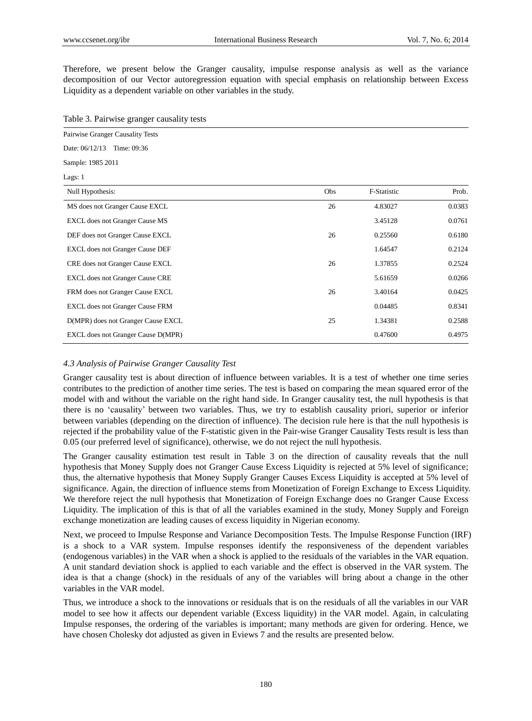Therefore, we present below the Granger causality, impulse response analysis as well as the variance decomposition of our Vector autoregression equation with special emphasis on relationship between Excess Liquidity as a dependent variable on other variables in the study.

Table 3. Pairwise granger causality tests

| Pairwise Granger Causality Tests       |     |             |        |
|----------------------------------------|-----|-------------|--------|
| Date: 06/12/13<br>Time: 09:36          |     |             |        |
| Sample: 1985 2011                      |     |             |        |
| Lags: $1$                              |     |             |        |
| Null Hypothesis:                       | Obs | F-Statistic | Prob.  |
| MS does not Granger Cause EXCL         | 26  | 4.83027     | 0.0383 |
| <b>EXCL</b> does not Granger Cause MS  |     | 3.45128     | 0.0761 |
| DEF does not Granger Cause EXCL        | 26  | 0.25560     | 0.6180 |
| <b>EXCL</b> does not Granger Cause DEF |     | 1.64547     | 0.2124 |
| CRE does not Granger Cause EXCL        | 26  | 1.37855     | 0.2524 |
| <b>EXCL</b> does not Granger Cause CRE |     | 5.61659     | 0.0266 |
| FRM does not Granger Cause EXCL        | 26  | 3.40164     | 0.0425 |
| <b>EXCL</b> does not Granger Cause FRM |     | 0.04485     | 0.8341 |
| D(MPR) does not Granger Cause EXCL     | 25  | 1.34381     | 0.2588 |
| EXCL does not Granger Cause D(MPR)     |     | 0.47600     | 0.4975 |

#### *4.3 Analysis of Pairwise Granger Causality Test*

Granger causality test is about direction of influence between variables. It is a test of whether one time series contributes to the prediction of another time series. The test is based on comparing the mean squared error of the model with and without the variable on the right hand side. In Granger causality test, the null hypothesis is that there is no ‗causality' between two variables. Thus, we try to establish causality priori, superior or inferior between variables (depending on the direction of influence). The decision rule here is that the null hypothesis is rejected if the probability value of the F-statistic given in the Pair-wise Granger Causality Tests result is less than 0.05 (our preferred level of significance), otherwise, we do not reject the null hypothesis.

The Granger causality estimation test result in Table 3 on the direction of causality reveals that the null hypothesis that Money Supply does not Granger Cause Excess Liquidity is rejected at 5% level of significance; thus, the alternative hypothesis that Money Supply Granger Causes Excess Liquidity is accepted at 5% level of significance. Again, the direction of influence stems from Monetization of Foreign Exchange to Excess Liquidity. We therefore reject the null hypothesis that Monetization of Foreign Exchange does no Granger Cause Excess Liquidity. The implication of this is that of all the variables examined in the study, Money Supply and Foreign exchange monetization are leading causes of excess liquidity in Nigerian economy.

Next, we proceed to Impulse Response and Variance Decomposition Tests. The Impulse Response Function (IRF) is a shock to a VAR system. Impulse responses identify the responsiveness of the dependent variables (endogenous variables) in the VAR when a shock is applied to the residuals of the variables in the VAR equation. A unit standard deviation shock is applied to each variable and the effect is observed in the VAR system. The idea is that a change (shock) in the residuals of any of the variables will bring about a change in the other variables in the VAR model.

Thus, we introduce a shock to the innovations or residuals that is on the residuals of all the variables in our VAR model to see how it affects our dependent variable (Excess liquidity) in the VAR model. Again, in calculating Impulse responses, the ordering of the variables is important; many methods are given for ordering. Hence, we have chosen Cholesky dot adjusted as given in Eviews 7 and the results are presented below.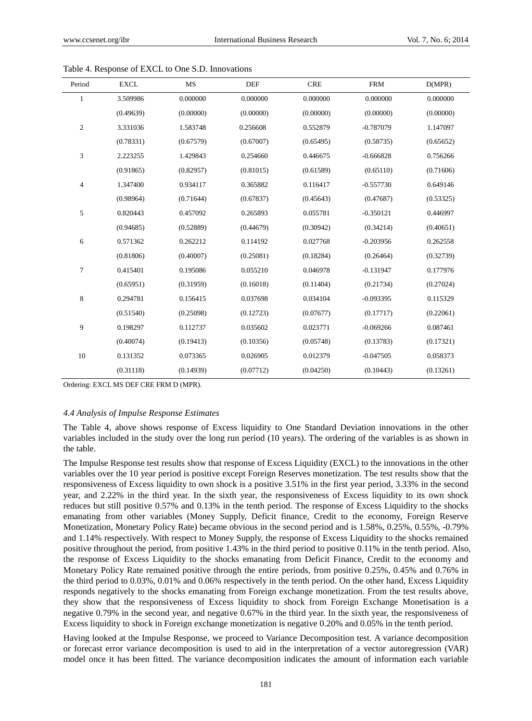| Period           | <b>EXCL</b> | MS        | <b>DEF</b> | <b>CRE</b> | <b>FRM</b>  | D(MPR)    |
|------------------|-------------|-----------|------------|------------|-------------|-----------|
| 1                | 3.509986    | 0.000000  | 0.000000   | 0.000000   | 0.000000    | 0.000000  |
|                  | (0.49639)   | (0.00000) | (0.00000)  | (0.00000)  | (0.00000)   | (0.00000) |
| $\boldsymbol{2}$ | 3.331036    | 1.583748  | 0.256608   | 0.552879   | $-0.787079$ | 1.147097  |
|                  | (0.78331)   | (0.67579) | (0.67007)  | (0.65495)  | (0.58735)   | (0.65652) |
| 3                | 2.223255    | 1.429843  | 0.254660   | 0.446675   | $-0.666828$ | 0.756266  |
|                  | (0.91865)   | (0.82957) | (0.81015)  | (0.61589)  | (0.65110)   | (0.71606) |
| $\overline{4}$   | 1.347400    | 0.934117  | 0.365882   | 0.116417   | $-0.557730$ | 0.649146  |
|                  | (0.98964)   | (0.71644) | (0.67837)  | (0.45643)  | (0.47687)   | (0.53325) |
| 5                | 0.820443    | 0.457092  | 0.265893   | 0.055781   | $-0.350121$ | 0.446997  |
|                  | (0.94685)   | (0.52889) | (0.44679)  | (0.30942)  | (0.34214)   | (0.40651) |
| 6                | 0.571362    | 0.262212  | 0.114192   | 0.027768   | $-0.203956$ | 0.262558  |
|                  | (0.81806)   | (0.40007) | (0.25081)  | (0.18284)  | (0.26464)   | (0.32739) |
| $\tau$           | 0.415401    | 0.195086  | 0.055210   | 0.046978   | $-0.131947$ | 0.177976  |
|                  | (0.65951)   | (0.31959) | (0.16018)  | (0.11404)  | (0.21734)   | (0.27024) |
| 8                | 0.294781    | 0.156415  | 0.037698   | 0.034104   | $-0.093395$ | 0.115329  |
|                  | (0.51540)   | (0.25098) | (0.12723)  | (0.07677)  | (0.17717)   | (0.22061) |
| 9                | 0.198297    | 0.112737  | 0.035602   | 0.023771   | $-0.069266$ | 0.087461  |
|                  | (0.40074)   | (0.19413) | (0.10356)  | (0.05748)  | (0.13783)   | (0.17321) |
| 10               | 0.131352    | 0.073365  | 0.026905   | 0.012379   | $-0.047505$ | 0.058373  |
|                  | (0.31118)   | (0.14939) | (0.07712)  | (0.04250)  | (0.10443)   | (0.13261) |

Table 4. Response of EXCL to One S.D. Innovations

Ordering: EXCL MS DEF CRE FRM D (MPR).

#### *4.4 Analysis of Impulse Response Estimates*

The Table 4, above shows response of Excess liquidity to One Standard Deviation innovations in the other variables included in the study over the long run period (10 years). The ordering of the variables is as shown in the table.

The Impulse Response test results show that response of Excess Liquidity (EXCL) to the innovations in the other variables over the 10 year period is positive except Foreign Reserves monetization. The test results show that the responsiveness of Excess liquidity to own shock is a positive 3.51% in the first year period, 3.33% in the second year, and 2.22% in the third year. In the sixth year, the responsiveness of Excess liquidity to its own shock reduces but still positive 0.57% and 0.13% in the tenth period. The response of Excess Liquidity to the shocks emanating from other variables (Money Supply, Deficit finance, Credit to the economy, Foreign Reserve Monetization, Monetary Policy Rate) became obvious in the second period and is 1.58%, 0.25%, 0.55%, -0.79% and 1.14% respectively. With respect to Money Supply, the response of Excess Liquidity to the shocks remained positive throughout the period, from positive 1.43% in the third period to positive 0.11% in the tenth period. Also, the response of Excess Liquidity to the shocks emanating from Deficit Finance, Credit to the economy and Monetary Policy Rate remained positive through the entire periods, from positive 0.25%, 0.45% and 0.76% in the third period to 0.03%, 0.01% and 0.06% respectively in the tenth period. On the other hand, Excess Liquidity responds negatively to the shocks emanating from Foreign exchange monetization. From the test results above, they show that the responsiveness of Excess liquidity to shock from Foreign Exchange Monetisation is a negative 0.79% in the second year, and negative 0.67% in the third year. In the sixth year, the responsiveness of Excess liquidity to shock in Foreign exchange monetization is negative 0.20% and 0.05% in the tenth period.

Having looked at the Impulse Response, we proceed to Variance Decomposition test. A variance decomposition or forecast error variance decomposition is used to aid in the interpretation of a vector autoregression (VAR) model once it has been fitted. The variance decomposition indicates the amount of information each variable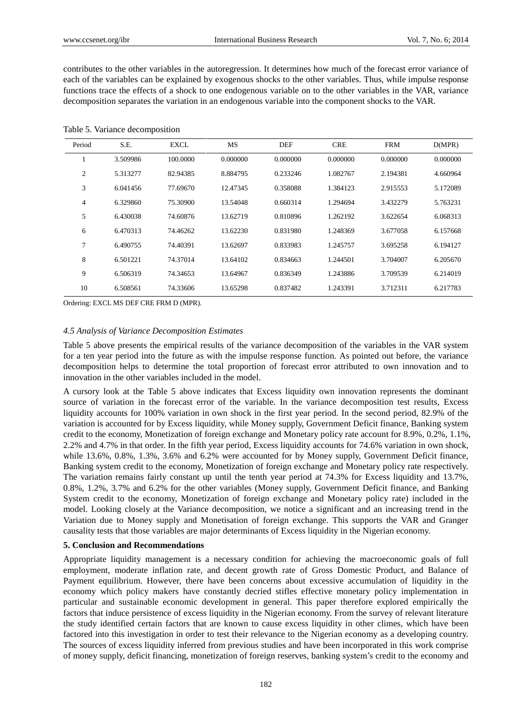contributes to the other variables in the autoregression. It determines how much of the forecast error variance of each of the variables can be explained by exogenous shocks to the other variables. Thus, while impulse response functions trace the effects of a shock to one endogenous variable on to the other variables in the VAR, variance decomposition separates the variation in an endogenous variable into the component shocks to the VAR.

| Period | S.E.     | <b>EXCL</b> | <b>MS</b> | <b>DEF</b> | <b>CRE</b> | <b>FRM</b> | D(MPR)   |
|--------|----------|-------------|-----------|------------|------------|------------|----------|
|        | 3.509986 | 100.0000    | 0.000000  | 0.000000   | 0.000000   | 0.000000   | 0.000000 |
| 2      | 5.313277 | 82.94385    | 8.884795  | 0.233246   | 1.082767   | 2.194381   | 4.660964 |
| 3      | 6.041456 | 77.69670    | 12.47345  | 0.358088   | 1.384123   | 2.915553   | 5.172089 |
| 4      | 6.329860 | 75.30900    | 13.54048  | 0.660314   | 1.294694   | 3.432279   | 5.763231 |
| 5      | 6.430038 | 74.60876    | 13.62719  | 0.810896   | 1.262192   | 3.622654   | 6.068313 |
| 6      | 6.470313 | 74.46262    | 13.62230  | 0.831980   | 1.248369   | 3.677058   | 6.157668 |
| 7      | 6.490755 | 74.40391    | 13.62697  | 0.833983   | 1.245757   | 3.695258   | 6.194127 |
| 8      | 6.501221 | 74.37014    | 13.64102  | 0.834663   | 1.244501   | 3.704007   | 6.205670 |
| 9      | 6.506319 | 74.34653    | 13.64967  | 0.836349   | 1.243886   | 3.709539   | 6.214019 |
| 10     | 6.508561 | 74.33606    | 13.65298  | 0.837482   | 1.243391   | 3.712311   | 6.217783 |

Ordering: EXCL MS DEF CRE FRM D (MPR).

#### *4.5 Analysis of Variance Decomposition Estimates*

Table 5 above presents the empirical results of the variance decomposition of the variables in the VAR system for a ten year period into the future as with the impulse response function. As pointed out before, the variance decomposition helps to determine the total proportion of forecast error attributed to own innovation and to innovation in the other variables included in the model.

A cursory look at the Table 5 above indicates that Excess liquidity own innovation represents the dominant source of variation in the forecast error of the variable. In the variance decomposition test results, Excess liquidity accounts for 100% variation in own shock in the first year period. In the second period, 82.9% of the variation is accounted for by Excess liquidity, while Money supply, Government Deficit finance, Banking system credit to the economy, Monetization of foreign exchange and Monetary policy rate account for 8.9%, 0.2%, 1.1%, 2.2% and 4.7% in that order. In the fifth year period, Excess liquidity accounts for 74.6% variation in own shock, while 13.6%, 0.8%, 1.3%, 3.6% and 6.2% were accounted for by Money supply, Government Deficit finance, Banking system credit to the economy, Monetization of foreign exchange and Monetary policy rate respectively. The variation remains fairly constant up until the tenth year period at 74.3% for Excess liquidity and 13.7%, 0.8%, 1.2%, 3.7% and 6.2% for the other variables (Money supply, Government Deficit finance, and Banking System credit to the economy, Monetization of foreign exchange and Monetary policy rate) included in the model. Looking closely at the Variance decomposition, we notice a significant and an increasing trend in the Variation due to Money supply and Monetisation of foreign exchange. This supports the VAR and Granger causality tests that those variables are major determinants of Excess liquidity in the Nigerian economy.

#### **5. Conclusion and Recommendations**

Appropriate liquidity management is a necessary condition for achieving the macroeconomic goals of full employment, moderate inflation rate, and decent growth rate of Gross Domestic Product, and Balance of Payment equilibrium. However, there have been concerns about excessive accumulation of liquidity in the economy which policy makers have constantly decried stifles effective monetary policy implementation in particular and sustainable economic development in general. This paper therefore explored empirically the factors that induce persistence of excess liquidity in the Nigerian economy. From the survey of relevant literature the study identified certain factors that are known to cause excess liquidity in other climes, which have been factored into this investigation in order to test their relevance to the Nigerian economy as a developing country. The sources of excess liquidity inferred from previous studies and have been incorporated in this work comprise of money supply, deficit financing, monetization of foreign reserves, banking system's credit to the economy and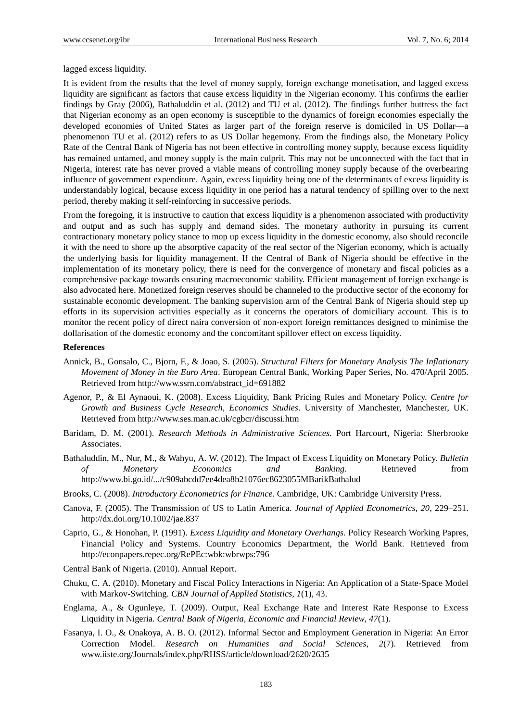lagged excess liquidity.

It is evident from the results that the level of money supply, foreign exchange monetisation, and lagged excess liquidity are significant as factors that cause excess liquidity in the Nigerian economy. This confirms the earlier findings by Gray (2006), Bathaluddin et al. (2012) and TU et al. (2012). The findings further buttress the fact that Nigerian economy as an open economy is susceptible to the dynamics of foreign economies especially the developed economies of United States as larger part of the foreign reserve is domiciled in US Dollar—a phenomenon TU et al. (2012) refers to as US Dollar hegemony. From the findings also, the Monetary Policy Rate of the Central Bank of Nigeria has not been effective in controlling money supply, because excess liquidity has remained untamed, and money supply is the main culprit. This may not be unconnected with the fact that in Nigeria, interest rate has never proved a viable means of controlling money supply because of the overbearing influence of government expenditure. Again, excess liquidity being one of the determinants of excess liquidity is understandably logical, because excess liquidity in one period has a natural tendency of spilling over to the next period, thereby making it self-reinforcing in successive periods.

From the foregoing, it is instructive to caution that excess liquidity is a phenomenon associated with productivity and output and as such has supply and demand sides. The monetary authority in pursuing its current contractionary monetary policy stance to mop up excess liquidity in the domestic economy, also should reconcile it with the need to shore up the absorptive capacity of the real sector of the Nigerian economy, which is actually the underlying basis for liquidity management. If the Central of Bank of Nigeria should be effective in the implementation of its monetary policy, there is need for the convergence of monetary and fiscal policies as a comprehensive package towards ensuring macroeconomic stability. Efficient management of foreign exchange is also advocated here. Monetized foreign reserves should be channeled to the productive sector of the economy for sustainable economic development. The banking supervision arm of the Central Bank of Nigeria should step up efforts in its supervision activities especially as it concerns the operators of domiciliary account. This is to monitor the recent policy of direct naira conversion of non-export foreign remittances designed to minimise the dollarisation of the domestic economy and the concomitant spillover effect on excess liquidity.

#### **References**

- Annick, B., Gonsalo, C., Bjorn, F., & Joao, S. (2005). *Structural Filters for Monetary Analysis The Inflationary Movement of Money in the Euro Area*. European Central Bank, Working Paper Series, No. 470/April 2005. Retrieved from http://www.ssrn.com/abstract\_id=691882
- Agenor, P., & El Aynaoui, K. (2008). Excess Liquidity, Bank Pricing Rules and Monetary Policy. *Centre for Growth and Business Cycle Research, Economics Studies*. University of Manchester, Manchester, UK. Retrieved from http://www.ses.man.ac.uk/cgbcr/discussi.htm
- Baridam, D. M. (2001). *Research Methods in Administrative Sciences.* Port Harcourt, Nigeria: Sherbrooke Associates.
- Bathaluddin, M., Nur, M., & Wahyu, A. W. (2012). The Impact of Excess Liquidity on Monetary Policy. *Bulletin of Monetary Economics and Banking*. Retrieved from http://www.bi.go.id/.../c909abcdd7ee4dea8b21076ec8623055MBarikBathalud
- Brooks, C. (2008). *Introductory Econometrics for Finance.* Cambridge, UK: Cambridge University Press.
- Canova, F. (2005). The Transmission of US to Latin America. *Journal of Applied Econometrics, 20*, 229–251. http://dx.doi.org/10.1002/jae.837
- Caprio, G., & Honohan, P. (1991). *Excess Liquidity and Monetary Overhangs*. Policy Research Working Papres, Financial Policy and Systems. Country Economics Department, the World Bank. Retrieved from http://econpapers.repec.org/RePEc:wbk:wbrwps:796
- Central Bank of Nigeria. (2010). Annual Report.
- Chuku, C. A. (2010). Monetary and Fiscal Policy Interactions in Nigeria: An Application of a State-Space Model with Markov-Switching. *CBN Journal of Applied Statistics, 1*(1), 43.
- Englama, A., & Ogunleye, T. (2009). Output, Real Exchange Rate and Interest Rate Response to Excess Liquidity in Nigeria. *Central Bank of Nigeria, Economic and Financial Review*, *47*(1).
- Fasanya, I. O., & Onakoya, A. B. O. (2012). Informal Sector and Employment Generation in Nigeria: An Error Correction Model. *Research on Humanities and Social Sciences*, *2*(7). Retrieved from www.iiste.org/Journals/index.php/RHSS/article/download/2620/2635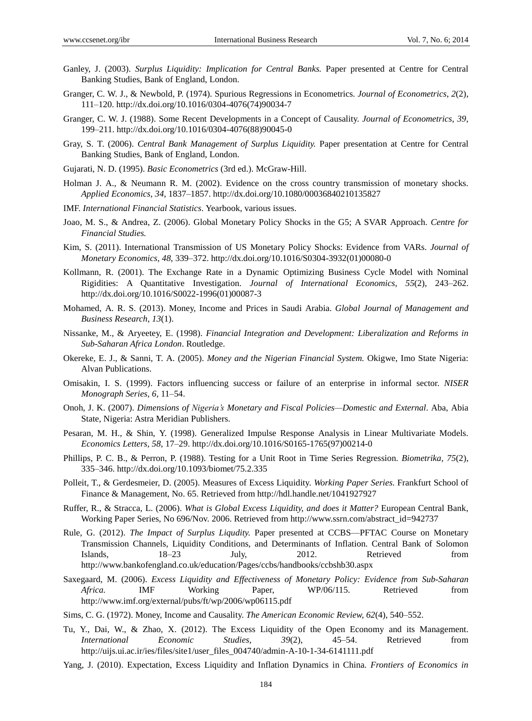- Ganley, J. (2003). *Surplus Liquidity: Implication for Central Banks.* Paper presented at Centre for Central Banking Studies, Bank of England, London.
- Granger, C. W. J., & Newbold, P. (1974). Spurious Regressions in Econometrics. *Journal of Econometrics*, *2*(2), 111–120. http://dx.doi.org/10.1016/0304-4076(74)90034-7
- Granger, C. W. J. (1988). Some Recent Developments in a Concept of Causality. *Journal of Econometrics, 39*, 199–211. http://dx.doi.org/10.1016/0304-4076(88)90045-0
- Gray, S. T. (2006). *Central Bank Management of Surplus Liquidity.* Paper presentation at Centre for Central Banking Studies, Bank of England, London.
- Gujarati, N. D. (1995). *Basic Econometrics* (3rd ed.). McGraw-Hill.
- Holman J. A., & Neumann R. M. (2002). Evidence on the cross country transmission of monetary shocks. *Applied Economics, 34*, 1837–1857. http://dx.doi.org/10.1080/00036840210135827
- IMF. *International Financial Statistics*. Yearbook, various issues.
- Joao, M. S., & Andrea, Z. (2006). Global Monetary Policy Shocks in the G5; A SVAR Approach. *Centre for Financial Studies.*
- Kim, S. (2011). International Transmission of US Monetary Policy Shocks: Evidence from VARs. *Journal of Monetary Economics, 48*, 339–372. http://dx.doi.org/10.1016/S0304-3932(01)00080-0
- Kollmann, R. (2001). The Exchange Rate in a Dynamic Optimizing Business Cycle Model with Nominal Rigidities: A Quantitative Investigation. *Journal of International Economics*, *55*(2), 243–262. http://dx.doi.org/10.1016/S0022-1996(01)00087-3
- Mohamed, A. R. S. (2013). Money, Income and Prices in Saudi Arabia. *Global Journal of Management and Business Research*, *13*(1).
- Nissanke, M., & Aryeetey, E. (1998). *Financial Integration and Development: Liberalization and Reforms in Sub-Saharan Africa London*. Routledge.
- Okereke, E. J., & Sanni, T. A. (2005). *Money and the Nigerian Financial System.* Okigwe, Imo State Nigeria: Alvan Publications.
- Omisakin, I. S. (1999). Factors influencing success or failure of an enterprise in informal sector. *NISER Monograph Series, 6*, 11–54.
- Onoh, J. K. (2007). *Dimensions of Nigeria's Monetary and Fiscal Policies—Domestic and External*. Aba, Abia State, Nigeria: Astra Meridian Publishers.
- Pesaran, M. H., & Shin, Y. (1998). Generalized Impulse Response Analysis in Linear Multivariate Models. *Economics Letters, 58*, 17–29. http://dx.doi.org/10.1016/S0165-1765(97)00214-0
- Phillips, P. C. B., & Perron, P. (1988). Testing for a Unit Root in Time Series Regression. *Biometrika, 75*(2), 335–346. http://dx.doi.org/10.1093/biomet/75.2.335
- Polleit, T., & Gerdesmeier, D. (2005). Measures of Excess Liquidity. *Working Paper Series*. Frankfurt School of Finance & Management, No. 65. Retrieved from http://hdl.handle.net/1041927927
- Ruffer, R., & Stracca, L. (2006). *What is Global Excess Liquidity, and does it Matter?* European Central Bank, Working Paper Series, No 696/Nov. 2006. Retrieved from http://www.ssrn.com/abstract\_id=942737
- Rule, G. (2012). *The Impact of Surplus Liqudity.* Paper presented at CCBS—PFTAC Course on Monetary Transmission Channels, Liquidity Conditions, and Determinants of Inflation. Central Bank of Solomon Islands, 18–23 July, 2012. Retrieved from http://www.bankofengland.co.uk/education/Pages/ccbs/handbooks/ccbshb30.aspx
- Saxegaard, M. (2006). *Excess Liquidity and Effectiveness of Monetary Policy: Evidence from Sub-Saharan Africa.* IMF Working Paper, WP/06/115. Retrieved from http://www.imf.org/external/pubs/ft/wp/2006/wp06115.pdf
- Sims, C. G. (1972). Money, Income and Causality. *The American Economic Review, 62*(4), 540–552.
- Tu, Y., Dai, W., & Zhao, X. (2012). The Excess Liquidity of the Open Economy and its Management. *International Economic Studies, 39*(2), 45–54. Retrieved from http://uijs.ui.ac.ir/ies/files/site1/user\_files\_004740/admin-A-10-1-34-6141111.pdf
- Yang, J. (2010). Expectation, Excess Liquidity and Inflation Dynamics in China. *Frontiers of Economics in*